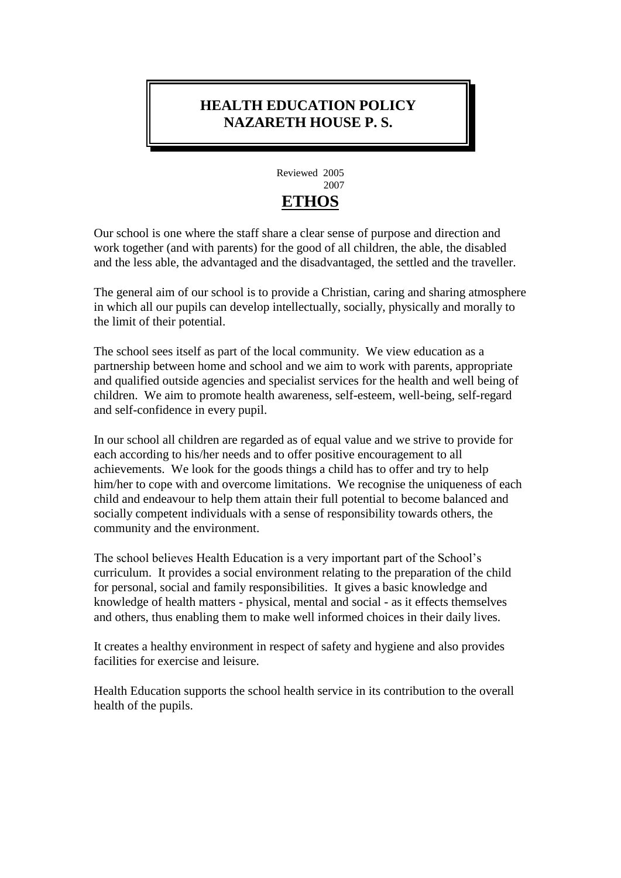# **HEALTH EDUCATION POLICY NAZARETH HOUSE P. S.**



Our school is one where the staff share a clear sense of purpose and direction and work together (and with parents) for the good of all children, the able, the disabled and the less able, the advantaged and the disadvantaged, the settled and the traveller.

The general aim of our school is to provide a Christian, caring and sharing atmosphere in which all our pupils can develop intellectually, socially, physically and morally to the limit of their potential.

The school sees itself as part of the local community. We view education as a partnership between home and school and we aim to work with parents, appropriate and qualified outside agencies and specialist services for the health and well being of children. We aim to promote health awareness, self-esteem, well-being, self-regard and self-confidence in every pupil.

In our school all children are regarded as of equal value and we strive to provide for each according to his/her needs and to offer positive encouragement to all achievements. We look for the goods things a child has to offer and try to help him/her to cope with and overcome limitations. We recognise the uniqueness of each child and endeavour to help them attain their full potential to become balanced and socially competent individuals with a sense of responsibility towards others, the community and the environment.

The school believes Health Education is a very important part of the School's curriculum. It provides a social environment relating to the preparation of the child for personal, social and family responsibilities. It gives a basic knowledge and knowledge of health matters - physical, mental and social - as it effects themselves and others, thus enabling them to make well informed choices in their daily lives.

It creates a healthy environment in respect of safety and hygiene and also provides facilities for exercise and leisure.

Health Education supports the school health service in its contribution to the overall health of the pupils.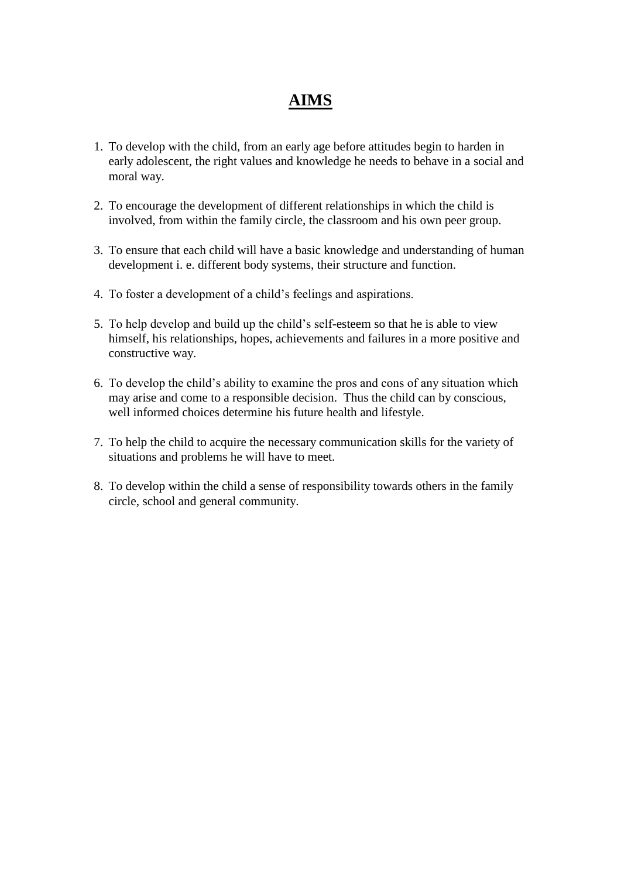# **AIMS**

- 1. To develop with the child, from an early age before attitudes begin to harden in early adolescent, the right values and knowledge he needs to behave in a social and moral way.
- 2. To encourage the development of different relationships in which the child is involved, from within the family circle, the classroom and his own peer group.
- 3. To ensure that each child will have a basic knowledge and understanding of human development i. e. different body systems, their structure and function.
- 4. To foster a development of a child's feelings and aspirations.
- 5. To help develop and build up the child's self-esteem so that he is able to view himself, his relationships, hopes, achievements and failures in a more positive and constructive way.
- 6. To develop the child's ability to examine the pros and cons of any situation which may arise and come to a responsible decision. Thus the child can by conscious, well informed choices determine his future health and lifestyle.
- 7. To help the child to acquire the necessary communication skills for the variety of situations and problems he will have to meet.
- 8. To develop within the child a sense of responsibility towards others in the family circle, school and general community.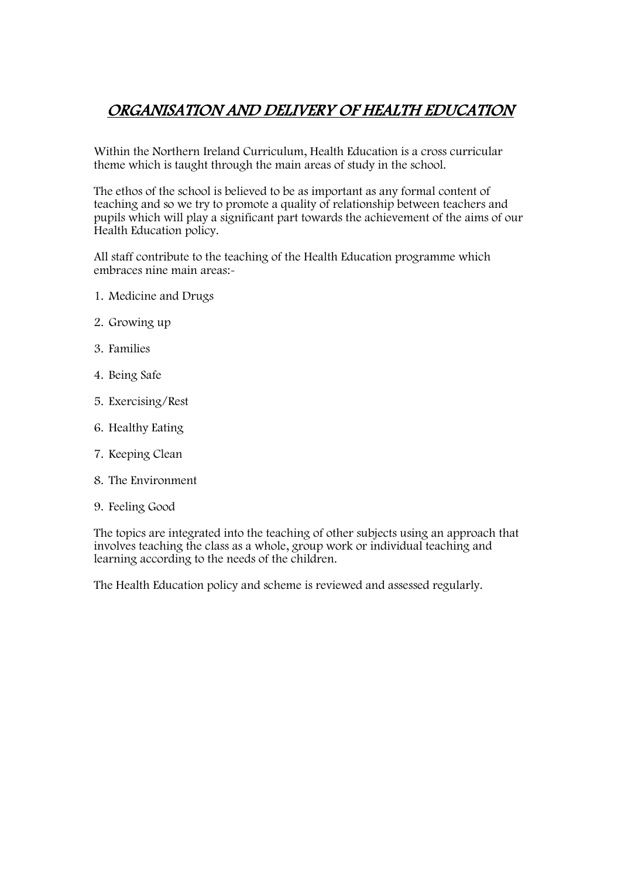# ORGANISATION AND DELIVERY OF HEALTH EDUCATION

Within the Northern Ireland Curriculum, Health Education is a cross curricular theme which is taught through the main areas of study in the school.

The ethos of the school is believed to be as important as any formal content of teaching and so we try to promote a quality of relationship between teachers and pupils which will play a significant part towards the achievement of the aims of our Health Education policy.

All staff contribute to the teaching of the Health Education programme which embraces nine main areas:-

- 1. Medicine and Drugs
- 2. Growing up
- 3. Families
- 4. Being Safe
- 5. Exercising/Rest
- 6. Healthy Eating
- 7. Keeping Clean
- 8. The Environment
- 9. Feeling Good

The topics are integrated into the teaching of other subjects using an approach that involves teaching the class as a whole, group work or individual teaching and learning according to the needs of the children.

The Health Education policy and scheme is reviewed and assessed regularly.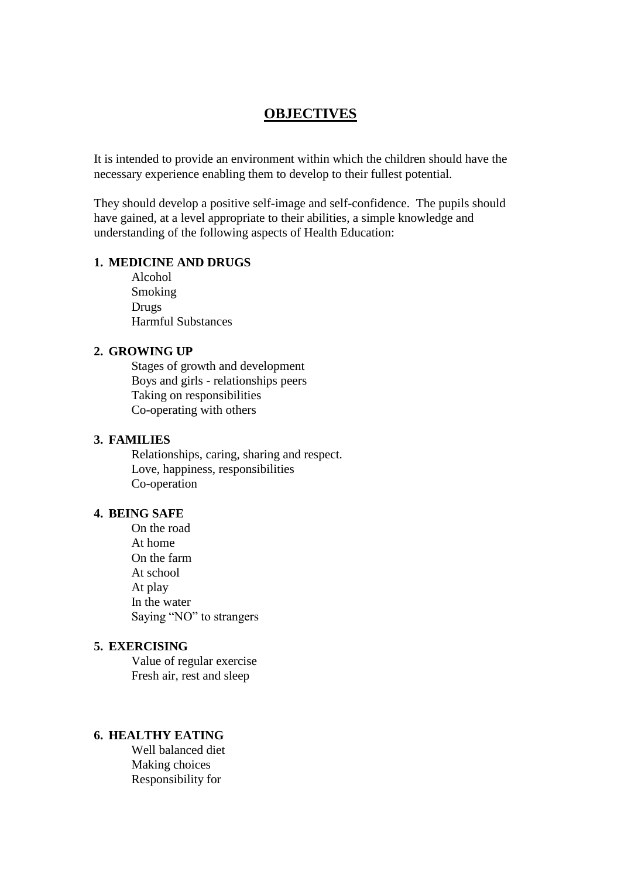#### **OBJECTIVES**

It is intended to provide an environment within which the children should have the necessary experience enabling them to develop to their fullest potential.

They should develop a positive self-image and self-confidence. The pupils should have gained, at a level appropriate to their abilities, a simple knowledge and understanding of the following aspects of Health Education:

#### **1. MEDICINE AND DRUGS**

Alcohol Smoking Drugs Harmful Substances

#### **2. GROWING UP**

Stages of growth and development Boys and girls - relationships peers Taking on responsibilities Co-operating with others

#### **3. FAMILIES**

Relationships, caring, sharing and respect. Love, happiness, responsibilities Co-operation

#### **4. BEING SAFE**

On the road At home On the farm At school At play In the water Saying "NO" to strangers

#### **5. EXERCISING**

Value of regular exercise Fresh air, rest and sleep

#### **6. HEALTHY EATING**

Well balanced diet Making choices Responsibility for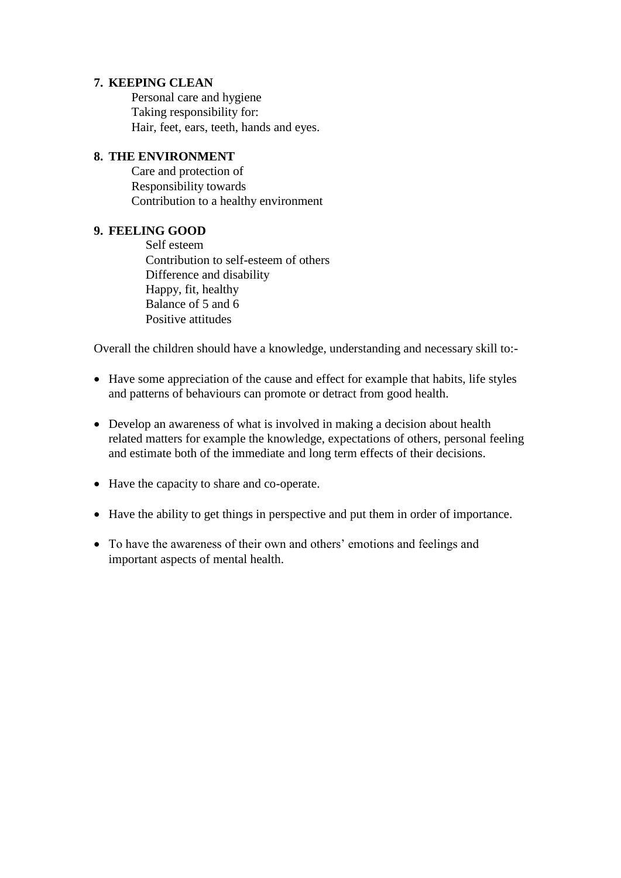#### **7. KEEPING CLEAN**

Personal care and hygiene Taking responsibility for: Hair, feet, ears, teeth, hands and eyes.

#### **8. THE ENVIRONMENT**

Care and protection of Responsibility towards Contribution to a healthy environment

#### **9. FEELING GOOD**

Self esteem Contribution to self-esteem of others Difference and disability Happy, fit, healthy Balance of 5 and 6 Positive attitudes

Overall the children should have a knowledge, understanding and necessary skill to:-

- Have some appreciation of the cause and effect for example that habits, life styles and patterns of behaviours can promote or detract from good health.
- Develop an awareness of what is involved in making a decision about health related matters for example the knowledge, expectations of others, personal feeling and estimate both of the immediate and long term effects of their decisions.
- Have the capacity to share and co-operate.
- Have the ability to get things in perspective and put them in order of importance.
- To have the awareness of their own and others' emotions and feelings and important aspects of mental health.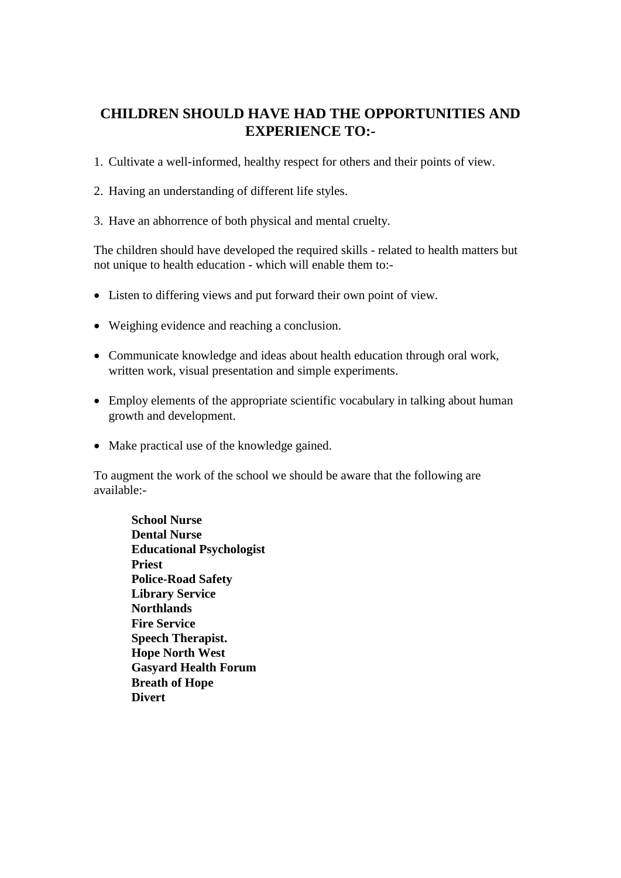# **CHILDREN SHOULD HAVE HAD THE OPPORTUNITIES AND EXPERIENCE TO:-**

- 1. Cultivate a well-informed, healthy respect for others and their points of view.
- 2. Having an understanding of different life styles.
- 3. Have an abhorrence of both physical and mental cruelty.

The children should have developed the required skills - related to health matters but not unique to health education - which will enable them to:-

- Listen to differing views and put forward their own point of view.
- Weighing evidence and reaching a conclusion.
- Communicate knowledge and ideas about health education through oral work, written work, visual presentation and simple experiments.
- Employ elements of the appropriate scientific vocabulary in talking about human growth and development.
- Make practical use of the knowledge gained.

To augment the work of the school we should be aware that the following are available:-

**School Nurse Dental Nurse Educational Psychologist Priest Police-Road Safety Library Service Northlands Fire Service Speech Therapist. Hope North West Gasyard Health Forum Breath of Hope Divert**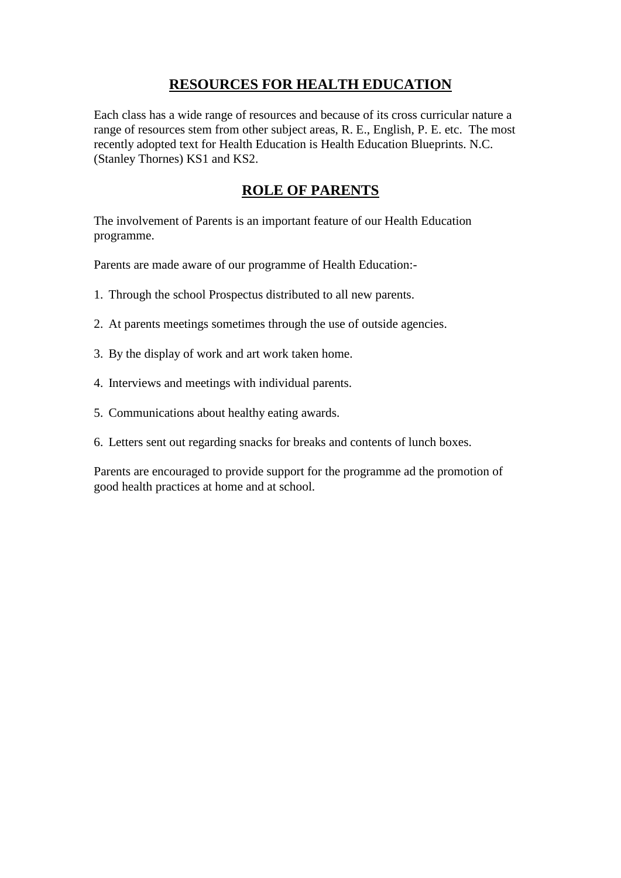# **RESOURCES FOR HEALTH EDUCATION**

Each class has a wide range of resources and because of its cross curricular nature a range of resources stem from other subject areas, R. E., English, P. E. etc. The most recently adopted text for Health Education is Health Education Blueprints. N.C. (Stanley Thornes) KS1 and KS2.

### **ROLE OF PARENTS**

The involvement of Parents is an important feature of our Health Education programme.

Parents are made aware of our programme of Health Education:-

- 1. Through the school Prospectus distributed to all new parents.
- 2. At parents meetings sometimes through the use of outside agencies.
- 3. By the display of work and art work taken home.
- 4. Interviews and meetings with individual parents.
- 5. Communications about healthy eating awards.
- 6. Letters sent out regarding snacks for breaks and contents of lunch boxes.

Parents are encouraged to provide support for the programme ad the promotion of good health practices at home and at school.